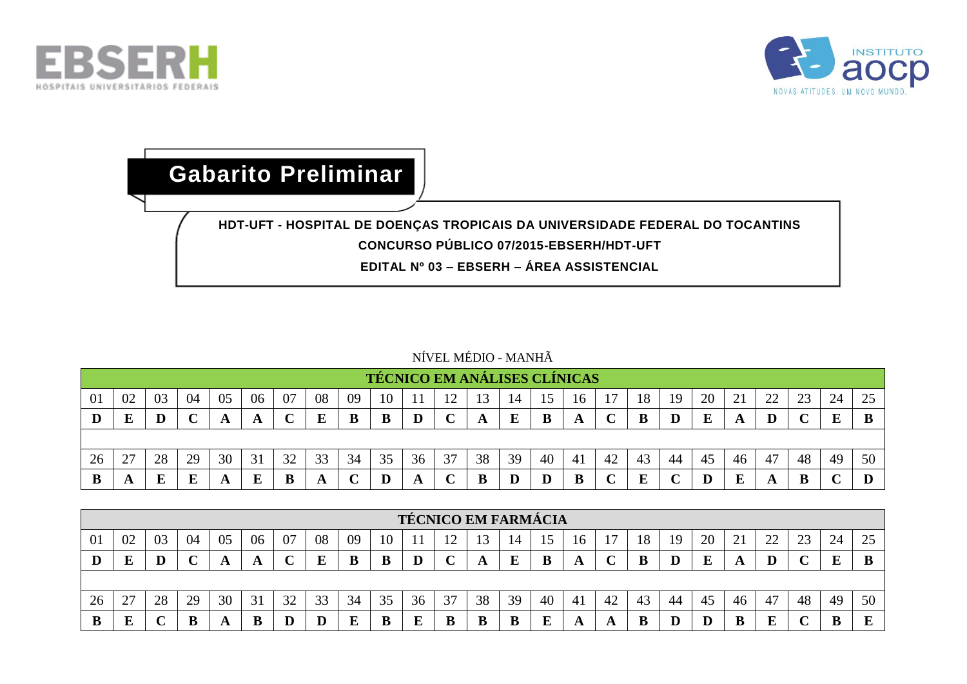



## **Gabarito Preliminar**

## **HDT-UFT - HOSPITAL DE DOENÇAS TROPICAIS DA UNIVERSIDADE FEDERAL DO TOCANTINS CONCURSO PÚBLICO 07/2015-EBSERH/HDT-UFT**

**EDITAL Nº 03 – EBSERH – ÁREA ASSISTENCIAL**

## NÍVEL MÉDIO - MANHÃ

|    |         |    |             |    |    |    |    |    |    |    | <b>TÉCNICO EM ANÁLISES CLÍNICAS</b> |    |    |    |     |    |    |    |    |    |    |    |    |            |
|----|---------|----|-------------|----|----|----|----|----|----|----|-------------------------------------|----|----|----|-----|----|----|----|----|----|----|----|----|------------|
| 01 | 02      | 03 | 04          | 05 | 06 | 07 | 08 | 09 | 10 |    | ∣າ                                  |    | 14 |    | 16  |    | 18 | 19 | 20 | 21 | 22 | 23 | 24 | つく<br>ل کے |
|    | E.<br>Ŀ |    | $\sim$<br>◡ |    | A  |    | E  | B  | B  |    | ⌒<br>֊                              | A  | ப  |    | A   |    |    |    | E  | л  | D  |    | ш  |            |
|    |         |    |             |    |    |    |    |    |    |    |                                     |    |    |    |     |    |    |    |    |    |    |    |    |            |
| 26 | 27      | 28 | 29          | 30 | 31 | 32 | 33 | 34 | 35 | 36 | 37                                  | 38 | 39 | 40 | -41 | 42 | 43 | 44 | 45 | 46 | 47 | 48 | 49 | 50         |
| ĸ  | A       |    | E           |    | E  |    | A  |    |    |    |                                     |    |    |    | B   |    | E  |    |    |    |    |    |    |            |

|    |                                                                                                                          |    |    |    |    |    |    |    |    |    |    | <b>TÉCNICO EM FARMÁCIA</b> |    |    |                |    |    |    |    |    |    |    |    |    |
|----|--------------------------------------------------------------------------------------------------------------------------|----|----|----|----|----|----|----|----|----|----|----------------------------|----|----|----------------|----|----|----|----|----|----|----|----|----|
| 01 | 08<br>20<br>24<br>04<br>22<br>02<br>23<br>03<br>09<br>21<br>07<br>05<br>06<br>18<br>19<br>ി<br>16<br>14<br>ر ے<br>┳<br>Б |    |    |    |    |    |    |    |    |    |    |                            |    |    |                |    |    |    |    |    |    |    |    |    |
|    |                                                                                                                          |    |    |    | A  |    | Ε  | В  | B  |    |    |                            |    |    |                |    |    |    | Е  |    | D  |    |    |    |
|    |                                                                                                                          |    |    |    |    |    |    |    |    |    |    |                            |    |    |                |    |    |    |    |    |    |    |    |    |
| 26 | 27<br>∠                                                                                                                  | 28 | 29 | 30 | 31 | 32 | 33 | 34 | 35 | 36 | 37 | 38                         | 39 | 40 | 4 <sub>1</sub> | 42 | 43 | 44 | 45 | 46 | 47 | 48 | 49 | 50 |
|    | ТD<br>تد                                                                                                                 |    | В  |    | B  | ю  | Ľ  |    | B  | E  | D  |                            |    |    |                |    |    |    |    |    | E  |    |    |    |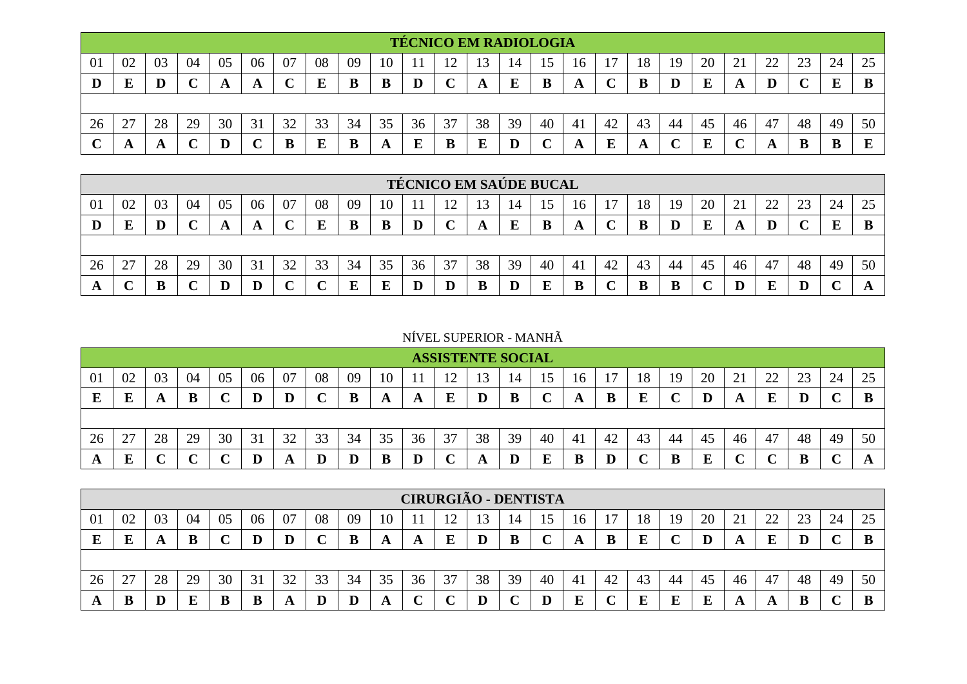|    |        |    |    |         |    |    |    |    |    |    | <b>TÉCNICO EM RADIOLOGIA</b> |    |                 |    |    |    |    |    |    |    |          |          |    |           |
|----|--------|----|----|---------|----|----|----|----|----|----|------------------------------|----|-----------------|----|----|----|----|----|----|----|----------|----------|----|-----------|
| 01 | 02     | 03 | 04 | 05      | 06 | 07 | 08 | 09 | 10 |    | ∸                            | 13 | $\overline{14}$ | 15 | 16 |    | 18 | 19 | 20 | ↩  | າາ<br>∠∠ | ററ<br>23 | 24 | 25        |
| D  | F<br>ت |    | ╰  |         | A  | ◡  | E  | В  | B  |    |                              | A  | E               | В  | A  |    |    |    | ≖  | A  |          |          | E  | B         |
|    |        |    |    |         |    |    |    |    |    |    |                              |    |                 |    |    |    |    |    |    |    |          |          |    |           |
| 26 | 27     | 28 | 29 | 30      | 31 | 32 | 33 | 34 | 35 | 36 | 37                           | 38 | 39              | 40 | 41 | 42 | 43 | 44 | 45 | 46 | 47       | 48       | 49 | 50        |
|    | Ð      |    |    | $\bf D$ |    |    | E  | л  | A  |    | B                            |    |                 |    |    |    |    |    |    |    |          |          | В  | ${\bf E}$ |

|    |        |    |    |    |         |    |    |    |    |    |    | <b>TÉCNICO EM SAÚDE BUCAL</b> |    |    |     |    |    |     |    |    |    |    |    |    |
|----|--------|----|----|----|---------|----|----|----|----|----|----|-------------------------------|----|----|-----|----|----|-----|----|----|----|----|----|----|
| 01 | 02     | 03 | 04 | 05 | 06      | 07 | 08 | 09 | 10 |    |    |                               | 14 | 15 | 16  |    | 18 | 19  | 20 |    | 22 | 23 | 24 | 25 |
|    | E      |    |    |    | A       |    | E  | B  | B  |    | ◡  |                               | E  | В  | A   |    | B  |     | E  |    | D  |    | E  |    |
|    |        |    |    |    |         |    |    |    |    |    |    |                               |    |    |     |    |    |     |    |    |    |    |    |    |
| 26 | 27     | 28 | 29 | 30 | 31      | 32 | 33 | 34 | 35 | 36 | 37 | 38                            | 39 | 40 | -41 | 42 | 43 | -44 | 45 | 46 | 47 | 48 | 49 | 50 |
|    | $\sim$ |    |    |    | $\bf D$ |    |    | Е  | E  |    | D  | B                             |    |    |     |    | B  |     |    |    | E  |    |    |    |

NÍVEL SUPERIOR - MANHÃ

|        |           |    |    |    |    |    |    |    |    |    | <b>ASSISTENTE SOCIAL</b> |    |    |    |               |    |    |    |    |    |    |    |    |    |
|--------|-----------|----|----|----|----|----|----|----|----|----|--------------------------|----|----|----|---------------|----|----|----|----|----|----|----|----|----|
| 01     | 02        | 03 | 04 | 05 | 06 | 07 | 08 | 09 | 10 |    | $1^{\circ}$<br>∸         |    | 14 |    | 16            |    | 18 | 19 | 20 | 21 | 22 | 23 | 24 | 25 |
| г<br>L | T.<br>تلا |    | B  |    | D  | D  | ັ  | B  | A  | A  | F                        |    |    |    | A             |    | E  |    |    |    | E  |    |    |    |
|        |           |    |    |    |    |    |    |    |    |    |                          |    |    |    |               |    |    |    |    |    |    |    |    |    |
| 26     | 27        | 28 | 29 | 30 | 31 | 32 | 33 | 34 | 35 | 36 | 37                       | 38 | 39 | 40 | <sup>41</sup> | 42 | 43 | 44 | 45 | 46 | 47 | 48 | 49 | 50 |
| A      | T.<br>L   |    | ◥. |    | Г  | A  | Ľ  |    | B  |    |                          |    |    |    | B             |    |    | B  | E  |    | ⌒  |    |    |    |

|    |        |    |    |    |    |    |    |    |    |    | <b>CIRURGIÃO - DENTISTA</b> |    |    |    |    |     |    |    |    |    |          |    |    |    |
|----|--------|----|----|----|----|----|----|----|----|----|-----------------------------|----|----|----|----|-----|----|----|----|----|----------|----|----|----|
| 01 | 02     | 03 | 04 | 05 | 06 | 07 | 08 | 09 | 10 |    |                             |    | 14 |    | 10 |     | 18 | 19 | 20 | 21 | າາ<br>∠∠ | 23 | 24 | 25 |
|    | ю<br>ப |    |    |    | D  | D  | ╰  | ш  | A  | A  | E                           |    | B  |    |    |     | E  |    |    | A  |          |    |    | B  |
|    |        |    |    |    |    |    |    |    |    |    |                             |    |    |    |    |     |    |    |    |    |          |    |    |    |
| 26 | 27     | 28 | 29 | 30 | 31 | 32 | 33 | 34 | 35 | 36 | 37                          | 38 | 39 | 40 | 41 | -42 | 43 | 44 | 45 | 46 | 47       | 48 | 49 | 50 |
|    | B      |    |    |    | B  |    | D  |    | A  |    |                             |    |    |    | E  |     | П  |    |    | A  | A        |    |    | B  |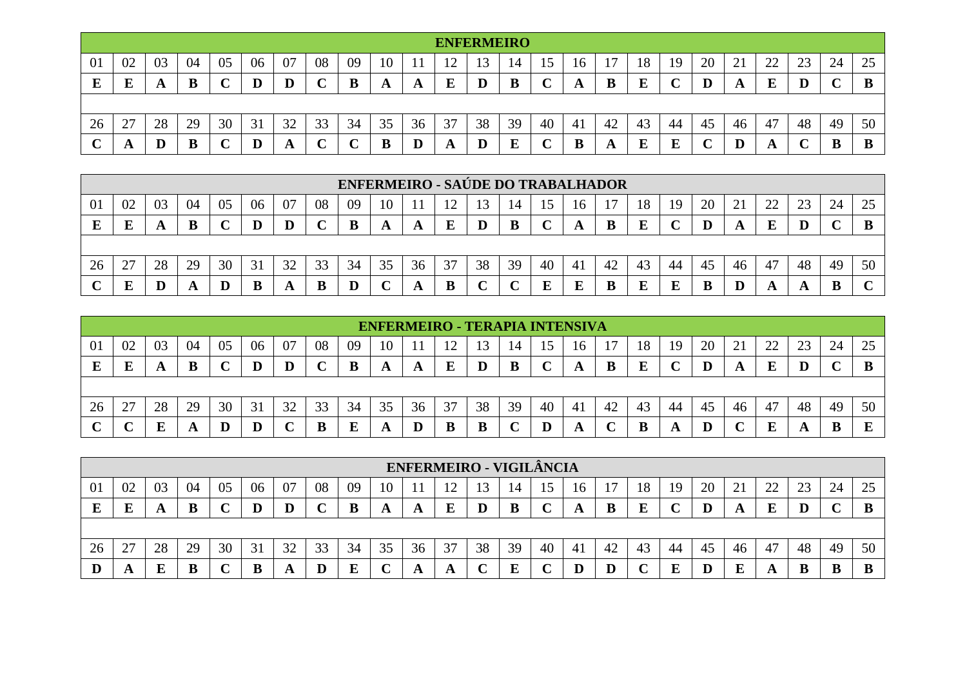|    |                  |    |    |    |    |    |    |    |                            |              | <b>ENFERMEIRO</b> |         |    |         |    |    |    |    |    |           |              |         |    |    |
|----|------------------|----|----|----|----|----|----|----|----------------------------|--------------|-------------------|---------|----|---------|----|----|----|----|----|-----------|--------------|---------|----|----|
| 01 | 02               | 03 | 04 | 05 | 06 | 07 | 08 | 09 | 10                         |              | $\bigcap$<br>∸∸   | ◯<br>13 | 14 | ╰<br>⊥J | 16 |    | 18 | 19 | 20 | ∩ 1<br>້ີ | ാറ<br>∠∠     | ີ<br>23 | 24 | 25 |
| E  | E                | A  | B  |    |    |    | ◡  | B  | $\boldsymbol{\mathcal{F}}$ | A            | E                 | IJ      | B  | ັ       | A  |    | F  |    |    | A         | E            | D       |    |    |
|    |                  |    |    |    |    |    |    |    |                            |              |                   |         |    |         |    |    |    |    |    |           |              |         |    |    |
| 26 | 27<br>$\angle$ , | 28 | 29 | 30 | 31 | 32 | 33 | 34 | 35                         | $\sim$<br>36 | 37                | 38      | 39 | 40      | 41 | 42 | 43 | 44 | 45 | 46        | 47           | 48      | 49 | 50 |
| ັ  | A                | Ш  | B  |    |    |    | ◡  |    | B                          |              | Ð                 |         | E  |         |    |    | ∽  |    |    |           | $\mathbf{L}$ |         |    |    |

|                |    |    |    |    |    |    |    |    |    |    | <b>ENFERMEIRO - SAÚDE DO TRABALHADOR</b> |    |    |    |    |    |    |     |    |    |                |           |    |    |
|----------------|----|----|----|----|----|----|----|----|----|----|------------------------------------------|----|----|----|----|----|----|-----|----|----|----------------|-----------|----|----|
| $\overline{0}$ | 02 | 03 | 04 | 05 | 06 | 07 | 08 | 09 | 10 |    |                                          |    | 14 |    | 16 |    | 18 | 19  | 20 |    | $\gamma$<br>∠∠ | $\bigcap$ | 24 |    |
|                |    |    | B  |    | D  |    |    |    |    | A  | E                                        |    | B  |    |    |    |    |     | D  |    | E              |           |    |    |
|                |    |    |    |    |    |    |    |    |    |    |                                          |    |    |    |    |    |    |     |    |    |                |           |    |    |
| 26             | 27 | 28 | 29 | 30 | 31 | 32 | 33 | 34 | 35 | 36 | 37                                       | 38 | 39 | 40 | 41 | 42 | 43 | -44 | 45 | 46 | 47             | 48        | 49 | 50 |
|                | п  |    |    |    |    | n  | B  |    |    |    | B                                        |    |    | г  | E  |    | E  |     |    |    | A              |           |    |    |

|                |         |    |    |    |    |    |    |    |    |    |     |    |    |    | <b>ENFERMEIRO - TERAPIA INTENSIVA</b> |    |    |    |    |    |    |    |    |    |
|----------------|---------|----|----|----|----|----|----|----|----|----|-----|----|----|----|---------------------------------------|----|----|----|----|----|----|----|----|----|
| $\overline{0}$ | 02      | 03 | 04 | 05 | 06 | 07 | 08 | 09 | 10 |    | ہ 1 | 13 | 14 |    | 16                                    |    | 18 | 19 | 20 | ↩  | 22 | 23 | 24 | 25 |
| E              | R       |    | B  |    | D  | D  |    |    | A  | A  | Ε   |    | B  |    | A                                     |    |    |    |    |    | E  |    |    |    |
|                |         |    |    |    |    |    |    |    |    |    |     |    |    |    |                                       |    |    |    |    |    |    |    |    |    |
| 26             | 27<br>∼ | 28 | 29 | 30 | 31 | 32 | 33 | 34 | 35 | 36 | 37  | 38 | 39 | 40 | 41                                    | 42 | 43 | 44 | 45 | 46 | 47 | 48 | 49 | 50 |
| $\sim$         |         |    |    |    | D  |    | B  |    | A  |    | B   | B  |    |    | A                                     |    | B  |    |    |    |    |    | B  | г  |

|    |    |    |    |    |    |    |    |    |    |              | <b>ENFERMEIRO - VIGILÂNCIA</b> |    |    |    |     |    |    |     |    |          |    |    |    |          |
|----|----|----|----|----|----|----|----|----|----|--------------|--------------------------------|----|----|----|-----|----|----|-----|----|----------|----|----|----|----------|
| 01 | 02 | 03 | 04 | 05 | 06 | 07 | 08 | 09 | 10 |              |                                |    | 14 |    | 16  |    | 18 | -19 | 20 | $\sim$ 1 | 22 | 23 | 24 | 25<br>رے |
|    | E  |    |    |    | D  |    |    | B  | A  | A            | E                              |    | B  |    | A   |    | E  |     |    |          | E  |    |    |          |
|    |    |    |    |    |    |    |    |    |    |              |                                |    |    |    |     |    |    |     |    |          |    |    |    |          |
| 26 | 27 | 28 | 29 | 30 | 31 | 32 | 33 | 34 | 35 | $\sim$<br>36 | 37                             | 38 | 39 | 40 | -41 | 42 | 43 | 44  | 45 | 46       | 47 | 48 | 49 | 50       |
|    | A  |    |    |    |    |    | D  | E  |    |              | A                              |    | E  |    |     |    |    |     |    | K,       | A  |    | B  |          |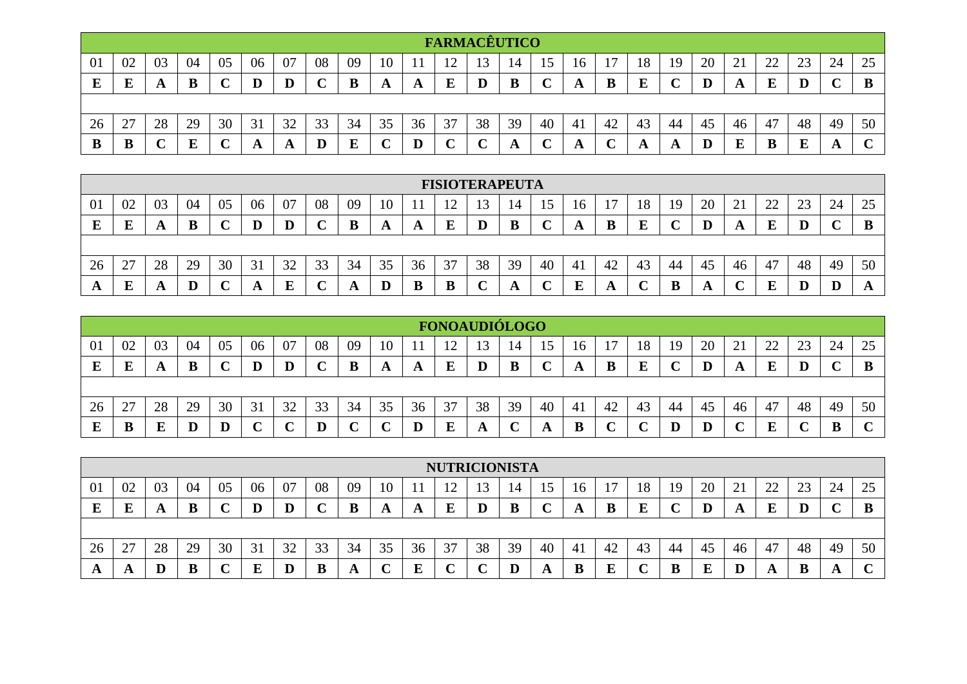|    |    |    |    |    |         |    |              |        |    |    | <b>FARMACÊUTICO</b> |    |                           |    |    |    |    |    |    |    |    |    |    |    |
|----|----|----|----|----|---------|----|--------------|--------|----|----|---------------------|----|---------------------------|----|----|----|----|----|----|----|----|----|----|----|
| 01 | 02 | 03 | 04 | 05 | 06      | 07 | 08           | 09     | 10 |    | ി                   | 13 | $\overline{14}$           |    | 16 |    | 18 | 19 | 20 | 21 | 22 | 23 | 24 | 25 |
| E  | E  | A  | B  | ◡  | $\bf D$ | D  | $\sim$<br>֊  | B      | A  | A  | E                   |    | B                         | ັ  | A  | B  | E  |    |    |    | E  |    |    | B  |
|    |    |    |    |    |         |    |              |        |    |    |                     |    |                           |    |    |    |    |    |    |    |    |    |    |    |
| 26 | 27 | 28 | 29 | 30 | 31      | 32 | 33           | 34     | 35 | 36 | 37                  | 38 | 39                        | 40 | 41 | 42 | 43 | 44 | 45 | 46 | 47 | 48 | 49 | 50 |
| D  | B  | ◡  | E  | ◡  | A       | A  | $\bf \Gamma$ | Ð<br>L | ิ  |    |                     |    | $\boldsymbol{\mathsf{A}}$ |    | A  |    | A  |    |    |    |    |    |    |    |

|                |    |    |    |    |    |    |    |    |    |    |         | <b>FISIOTERAPEUTA</b> |    |    |     |    |    |    |    |                   |         |              |    |    |
|----------------|----|----|----|----|----|----|----|----|----|----|---------|-----------------------|----|----|-----|----|----|----|----|-------------------|---------|--------------|----|----|
| 0 <sup>1</sup> | 02 | 03 | 04 | 05 | 06 | 07 | 08 | 09 | 10 |    |         |                       | 14 |    | 10  |    | 18 | 19 | 20 | $\bigcap$ 1<br>∠⊥ | ാ<br>∠∠ | $\cap$<br>23 | 24 | 25 |
|                | E  |    |    |    |    | D  |    |    | A  | A  | $\bf E$ | D                     | B  |    | A   | В  | E  |    |    | A                 |         |              |    | B  |
|                |    |    |    |    |    |    |    |    |    |    |         |                       |    |    |     |    |    |    |    |                   |         |              |    |    |
| 26             | 27 | 28 | 29 | 30 | 31 | 32 | 33 | 34 | 35 | 36 | 37      | 38                    | 39 | 40 | -41 | 42 | 43 | 44 | 45 | 46                | 47      | 48           | 49 | 50 |
|                | E  |    | D  |    |    |    |    | Ð  | D  | В  | B       |                       | A  |    | E   |    | ֊  |    |    |                   |         |              |    | A  |

|    |    |    |    |    |    |    |        |    |    |    | FONOAUDIÓLOGO |    |    |    |    |    |    |    |    |                 |          |    |    |        |
|----|----|----|----|----|----|----|--------|----|----|----|---------------|----|----|----|----|----|----|----|----|-----------------|----------|----|----|--------|
| 01 | 02 | 03 | 04 | 05 | 06 | 07 | 08     | 09 | 10 |    |               |    | 14 | 15 | 10 |    | 18 | 19 | 20 | $\bigcap$<br>∠⊥ | つつ<br>∠∠ | 23 | 24 | 25     |
|    | E  |    |    |    | D  |    | $\sim$ | B  | A  |    | E             |    | B  |    | A  |    | E  |    |    |                 | E        |    |    | B      |
|    |    |    |    |    |    |    |        |    |    |    |               |    |    |    |    |    |    |    |    |                 |          |    |    |        |
| 26 | 27 | 28 | 29 | 30 | 31 | 32 | 33     | 34 | 35 | 36 | 37            | 38 | 39 | 40 | 41 | 42 | 43 | 44 | 45 | 46              | 47       | 48 | 49 | 50     |
|    | B  |    |    |    |    |    | D      |    |    |    | E             |    | ັ  |    | B  |    |    |    |    |                 | E        |    | B  | $\sim$ |

|    |           |    |    |    |    |    |    |    |    |              | <b>NUTRICIONISTA</b> |    |    |    |    |    |         |     |    |              |                     |              |     |        |
|----|-----------|----|----|----|----|----|----|----|----|--------------|----------------------|----|----|----|----|----|---------|-----|----|--------------|---------------------|--------------|-----|--------|
| 01 | 02        | 03 | 04 | 05 | 06 | 07 | 08 | 09 | 10 |              |                      |    | 14 | 15 | 16 |    | 18      | -19 | 20 | $\sim$<br>∠⊥ | $\mathcal{D}$<br>∠∠ | $\cap$<br>23 | 24  | 25     |
|    | F<br>دلله |    |    |    |    |    |    | В  |    |              | E                    |    | B  |    |    |    | T.<br>Ľ |     |    |              | E                   |              |     | R<br>w |
|    |           |    |    |    |    |    |    |    |    |              |                      |    |    |    |    |    |         |     |    |              |                     |              |     |        |
| 26 | 27        | 28 | 29 | 30 | 31 | 32 | 33 | 34 | 35 | $\sim$<br>36 | 37                   | 38 | 39 | 40 | 41 | 42 | 43      | 44  | 45 | 46           | 47                  | 48           | 49  | 50     |
|    | A         |    |    |    |    |    | B  |    | ◡  |              | ∼                    |    |    |    |    |    |         |     | E  |              | A                   |              | £Э. |        |